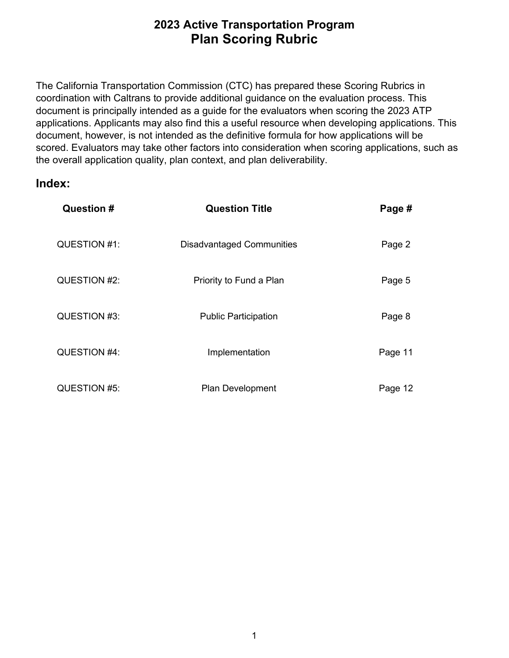the overall application quality, plan context, and plan deliverability. The California Transportation Commission (CTC) has prepared these Scoring Rubrics in coordination with Caltrans to provide additional guidance on the evaluation process. This document is principally intended as a guide for the evaluators when scoring the 2023 ATP applications. Applicants may also find this a useful resource when developing applications. This document, however, is not intended as the definitive formula for how applications will be scored. Evaluators may take other factors into consideration when scoring applications, such as

# **Index:**

| Question #   | <b>Question Title</b>            | Page #  |
|--------------|----------------------------------|---------|
| QUESTION #1: | <b>Disadvantaged Communities</b> | Page 2  |
| QUESTION #2: | Priority to Fund a Plan          | Page 5  |
| QUESTION #3: | <b>Public Participation</b>      | Page 8  |
| QUESTION #4: | Implementation                   | Page 11 |
| QUESTION #5: | <b>Plan Development</b>          | Page 12 |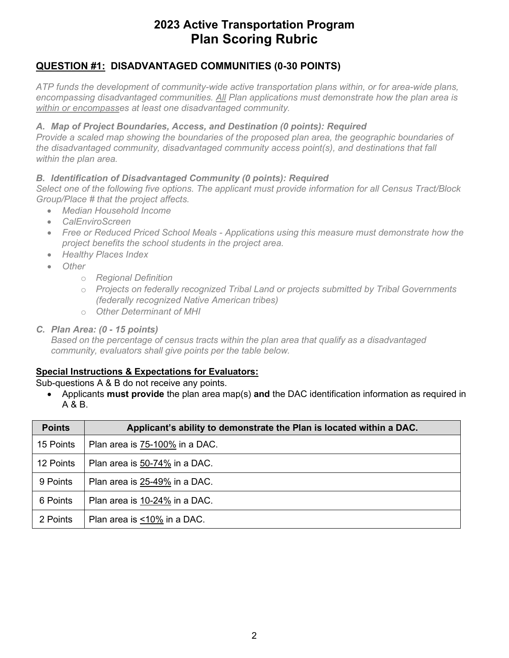## **QUESTION #1: DISADVANTAGED COMMUNITIES (0-30 POINTS)**

 *encompassing disadvantaged communities. All Plan applications must demonstrate how the plan area is ATP funds the development of community-wide active transportation plans within, or for area-wide plans, within or encompasses at least one disadvantaged community.* 

#### *A. Map of Project Boundaries, Access, and Destination (0 points): Required*

*Provide a scaled map showing the boundaries of the proposed plan area, the geographic boundaries of the disadvantaged community, disadvantaged community access point(s), and destinations that fall within the plan area.* 

#### *B. Identification of Disadvantaged Community (0 points): Required*

*Select one of the following five options. The applicant must provide information for all Census Tract/Block Group/Place # that the project affects.* 

- *Median Household Income*
- *CalEnviroScreen*
- *Free or Reduced Priced School Meals - Applications using this measure must demonstrate how the project benefits the school students in the project area.*
- *Healthy Places Index*
- *Other* 
	- o *Regional Definition*
	- o *Projects on federally recognized Tribal Land or projects submitted by Tribal Governments (federally recognized Native American tribes)*
	- o *Other Determinant of MHI*

#### *C. Plan Area: (0 - 15 points)*

 *Based on the percentage of census tracts within the plan area that qualify as a disadvantaged community, evaluators shall give points per the table below.* 

### **Special Instructions & Expectations for Evaluators:**

#### Sub-questions A & B do not receive any points.

 • Applicants **must provide** the plan area map(s) **and** the DAC identification information as required in A & B.

| <b>Points</b> | Applicant's ability to demonstrate the Plan is located within a DAC. |
|---------------|----------------------------------------------------------------------|
| 15 Points     | Plan area is 75-100% in a DAC.                                       |
| 12 Points     | Plan area is 50-74% in a DAC.                                        |
| 9 Points      | Plan area is 25-49% in a DAC.                                        |
| 6 Points      | Plan area is 10-24% in a DAC.                                        |
| 2 Points      | Plan area is <10% in a DAC.                                          |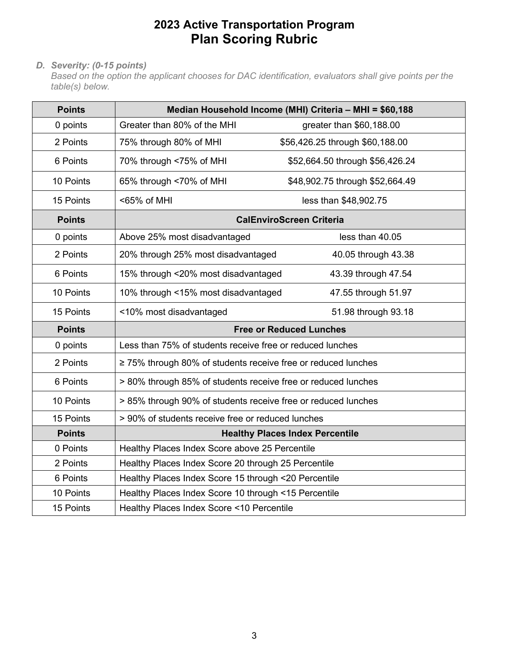### *D. Severity: (0-15 points)*

 *Based on the option the applicant chooses for DAC identification, evaluators shall give points per the table(s) below.* 

| <b>Points</b> |                                                               | Median Household Income (MHI) Criteria - MHI = \$60,188 |
|---------------|---------------------------------------------------------------|---------------------------------------------------------|
| 0 points      | Greater than 80% of the MHI                                   | greater than \$60,188.00                                |
| 2 Points      | 75% through 80% of MHI                                        | \$56,426.25 through \$60,188.00                         |
| 6 Points      | 70% through <75% of MHI                                       | \$52,664.50 through \$56,426.24                         |
| 10 Points     | 65% through <70% of MHI                                       | \$48,902.75 through \$52,664.49                         |
| 15 Points     | <65% of MHI                                                   | less than \$48,902.75                                   |
| <b>Points</b> |                                                               | <b>CalEnviroScreen Criteria</b>                         |
| 0 points      | Above 25% most disadvantaged                                  | less than 40.05                                         |
| 2 Points      | 20% through 25% most disadvantaged                            | 40.05 through 43.38                                     |
| 6 Points      | 15% through <20% most disadvantaged                           | 43.39 through 47.54                                     |
| 10 Points     | 10% through <15% most disadvantaged                           | 47.55 through 51.97                                     |
| 15 Points     | <10% most disadvantaged                                       | 51.98 through 93.18                                     |
| <b>Points</b> |                                                               | <b>Free or Reduced Lunches</b>                          |
| 0 points      | Less than 75% of students receive free or reduced lunches     |                                                         |
| 2 Points      | ≥ 75% through 80% of students receive free or reduced lunches |                                                         |
| 6 Points      | > 80% through 85% of students receive free or reduced lunches |                                                         |
| 10 Points     | > 85% through 90% of students receive free or reduced lunches |                                                         |
| 15 Points     | > 90% of students receive free or reduced lunches             |                                                         |
| <b>Points</b> |                                                               | <b>Healthy Places Index Percentile</b>                  |
| 0 Points      | Healthy Places Index Score above 25 Percentile                |                                                         |
| 2 Points      | Healthy Places Index Score 20 through 25 Percentile           |                                                         |
| 6 Points      | Healthy Places Index Score 15 through <20 Percentile          |                                                         |
| 10 Points     | Healthy Places Index Score 10 through <15 Percentile          |                                                         |
| 15 Points     | Healthy Places Index Score <10 Percentile                     |                                                         |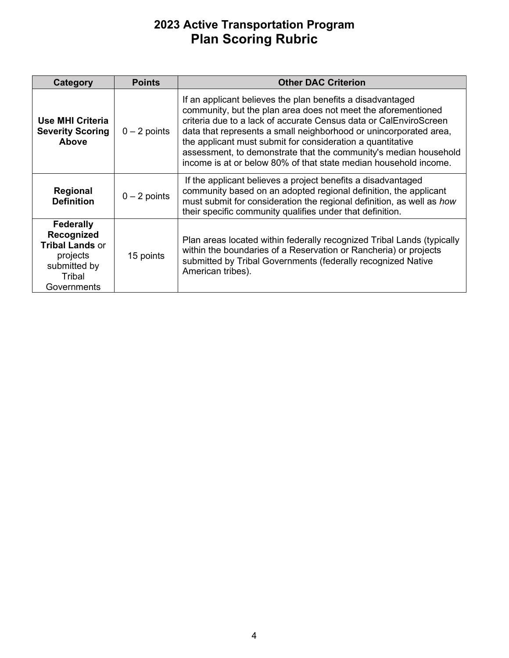| Category                                                                                                      | <b>Points</b>  | <b>Other DAC Criterion</b>                                                                                                                                                                                                                                                                                                                                                                                                                                                  |
|---------------------------------------------------------------------------------------------------------------|----------------|-----------------------------------------------------------------------------------------------------------------------------------------------------------------------------------------------------------------------------------------------------------------------------------------------------------------------------------------------------------------------------------------------------------------------------------------------------------------------------|
| Use MHI Criteria<br><b>Severity Scoring</b><br><b>Above</b>                                                   | $0 - 2$ points | If an applicant believes the plan benefits a disadvantaged<br>community, but the plan area does not meet the aforementioned<br>criteria due to a lack of accurate Census data or CalEnviroScreen<br>data that represents a small neighborhood or unincorporated area,<br>the applicant must submit for consideration a quantitative<br>assessment, to demonstrate that the community's median household<br>income is at or below 80% of that state median household income. |
| Regional<br><b>Definition</b>                                                                                 | $0 - 2$ points | If the applicant believes a project benefits a disadvantaged<br>community based on an adopted regional definition, the applicant<br>must submit for consideration the regional definition, as well as how<br>their specific community qualifies under that definition.                                                                                                                                                                                                      |
| <b>Federally</b><br>Recognized<br><b>Tribal Lands or</b><br>projects<br>submitted by<br>Tribal<br>Governments | 15 points      | Plan areas located within federally recognized Tribal Lands (typically<br>within the boundaries of a Reservation or Rancheria) or projects<br>submitted by Tribal Governments (federally recognized Native<br>American tribes).                                                                                                                                                                                                                                             |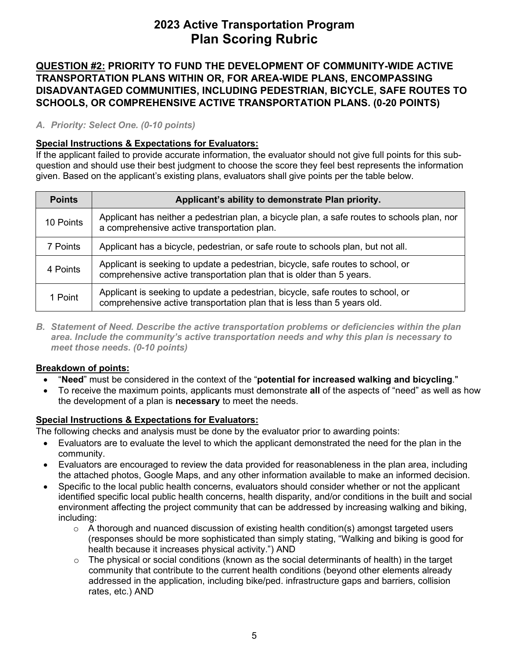**DISADVANTAGED COMMUNITIES, INCLUDING PEDESTRIAN, BICYCLE, SAFE ROUTES TO QUESTION #2: PRIORITY TO FUND THE DEVELOPMENT OF COMMUNITY-WIDE ACTIVE TRANSPORTATION PLANS WITHIN OR, FOR AREA-WIDE PLANS, ENCOMPASSING SCHOOLS, OR COMPREHENSIVE ACTIVE TRANSPORTATION PLANS. (0-20 POINTS)** 

### *A. Priority: Select One. (0-10 points)*

### **Special Instructions & Expectations for Evaluators:**

 question and should use their best judgment to choose the score they feel best represents the information If the applicant failed to provide accurate information, the evaluator should not give full points for this subgiven. Based on the applicant's existing plans, evaluators shall give points per the table below.

| <b>Points</b> | Applicant's ability to demonstrate Plan priority.                                                                                                          |
|---------------|------------------------------------------------------------------------------------------------------------------------------------------------------------|
| 10 Points     | Applicant has neither a pedestrian plan, a bicycle plan, a safe routes to schools plan, nor<br>a comprehensive active transportation plan.                 |
| 7 Points      | Applicant has a bicycle, pedestrian, or safe route to schools plan, but not all.                                                                           |
| 4 Points      | Applicant is seeking to update a pedestrian, bicycle, safe routes to school, or<br>comprehensive active transportation plan that is older than 5 years.    |
| 1 Point       | Applicant is seeking to update a pedestrian, bicycle, safe routes to school, or<br>comprehensive active transportation plan that is less than 5 years old. |

*B. Statement of Need. Describe the active transportation problems or deficiencies within the plan area. Include the community's active transportation needs and why this plan is necessary to meet those needs. (0-10 points)* 

### **Breakdown of points:**

- "**Need**" must be considered in the context of the "**potential for increased walking and bicycling**."
- • To receive the maximum points, applicants must demonstrate **all** of the aspects of "need" as well as how the development of a plan is **necessary** to meet the needs.

### **Special Instructions & Expectations for Evaluators:**

The following checks and analysis must be done by the evaluator prior to awarding points:

- Evaluators are to evaluate the level to which the applicant demonstrated the need for the plan in the community.
- the attached photos, Google Maps, and any other information available to make an informed decision. • Evaluators are encouraged to review the data provided for reasonableness in the plan area, including
- Specific to the local public health concerns, evaluators should consider whether or not the applicant identified specific local public health concerns, health disparity, and/or conditions in the built and social environment affecting the project community that can be addressed by increasing walking and biking, including:
	- health because it increases physical activity.") AND  $\circ$  A thorough and nuanced discussion of existing health condition(s) amongst targeted users (responses should be more sophisticated than simply stating, "Walking and biking is good for
	- $\circ$  The physical or social conditions (known as the social determinants of health) in the target community that contribute to the current health conditions (beyond other elements already addressed in the application, including bike/ped. infrastructure gaps and barriers, collision rates, etc.) AND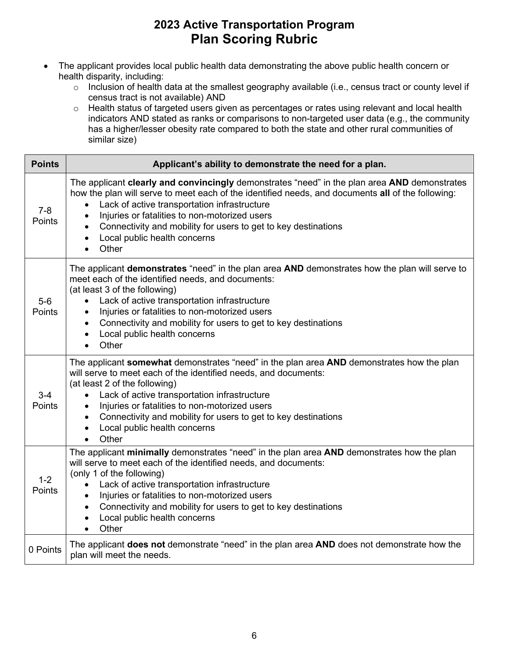- The applicant provides local public health data demonstrating the above public health concern or health disparity, including:
	- $\circ$  Inclusion of health data at the smallest geography available (i.e., census tract or county level if census tract is not available) AND
	- has a higher/lesser obesity rate compared to both the state and other rural communities of o Health status of targeted users given as percentages or rates using relevant and local health indicators AND stated as ranks or comparisons to non-targeted user data (e.g., the community similar size)

| <b>Points</b>     | Applicant's ability to demonstrate the need for a plan.                                                                                                                                                                                                                                                                                                                                                                                                                 |
|-------------------|-------------------------------------------------------------------------------------------------------------------------------------------------------------------------------------------------------------------------------------------------------------------------------------------------------------------------------------------------------------------------------------------------------------------------------------------------------------------------|
| $7 - 8$<br>Points | The applicant clearly and convincingly demonstrates "need" in the plan area AND demonstrates<br>how the plan will serve to meet each of the identified needs, and documents all of the following:<br>Lack of active transportation infrastructure<br>$\bullet$<br>Injuries or fatalities to non-motorized users<br>$\bullet$<br>Connectivity and mobility for users to get to key destinations<br>Local public health concerns<br>Other                                 |
| $5-6$<br>Points   | The applicant demonstrates "need" in the plan area AND demonstrates how the plan will serve to<br>meet each of the identified needs, and documents:<br>(at least 3 of the following)<br>Lack of active transportation infrastructure<br>$\bullet$<br>Injuries or fatalities to non-motorized users<br>$\bullet$<br>Connectivity and mobility for users to get to key destinations<br>$\bullet$<br>Local public health concerns<br>$\bullet$<br>Other<br>$\bullet$       |
| $3 - 4$<br>Points | The applicant somewhat demonstrates "need" in the plan area AND demonstrates how the plan<br>will serve to meet each of the identified needs, and documents:<br>(at least 2 of the following)<br>Lack of active transportation infrastructure<br>$\bullet$<br>Injuries or fatalities to non-motorized users<br>$\bullet$<br>Connectivity and mobility for users to get to key destinations<br>$\bullet$<br>Local public health concerns<br>$\bullet$<br>Other           |
| $1 - 2$<br>Points | The applicant minimally demonstrates "need" in the plan area AND demonstrates how the plan<br>will serve to meet each of the identified needs, and documents:<br>(only 1 of the following)<br>Lack of active transportation infrastructure<br>$\bullet$<br>Injuries or fatalities to non-motorized users<br>$\bullet$<br>Connectivity and mobility for users to get to key destinations<br>$\bullet$<br>Local public health concerns<br>$\bullet$<br>Other<br>$\bullet$ |
| 0 Points          | The applicant <b>does not</b> demonstrate "need" in the plan area AND does not demonstrate how the<br>plan will meet the needs.                                                                                                                                                                                                                                                                                                                                         |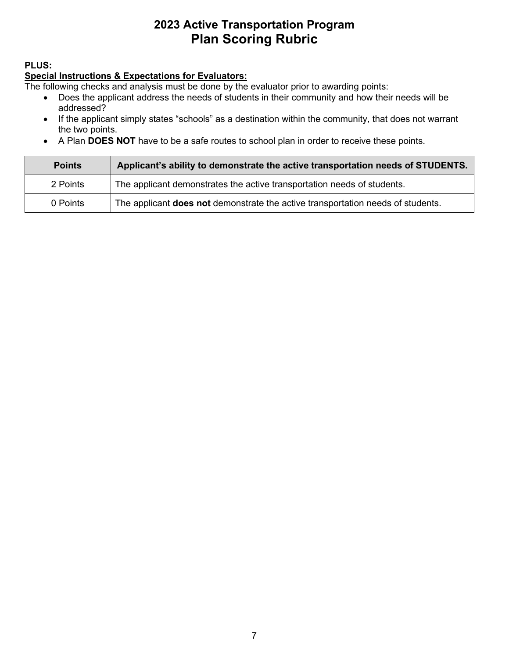### **PLUS:**

#### **Special Instructions & Expectations for Evaluators:**

The following checks and analysis must be done by the evaluator prior to awarding points:

- Does the applicant address the needs of students in their community and how their needs will be addressed?
- If the applicant simply states "schools" as a destination within the community, that does not warrant the two points.
- A Plan **DOES NOT** have to be a safe routes to school plan in order to receive these points.

| <b>Points</b> | Applicant's ability to demonstrate the active transportation needs of STUDENTS.        |
|---------------|----------------------------------------------------------------------------------------|
| 2 Points      | The applicant demonstrates the active transportation needs of students.                |
| 0 Points      | The applicant <b>does not</b> demonstrate the active transportation needs of students. |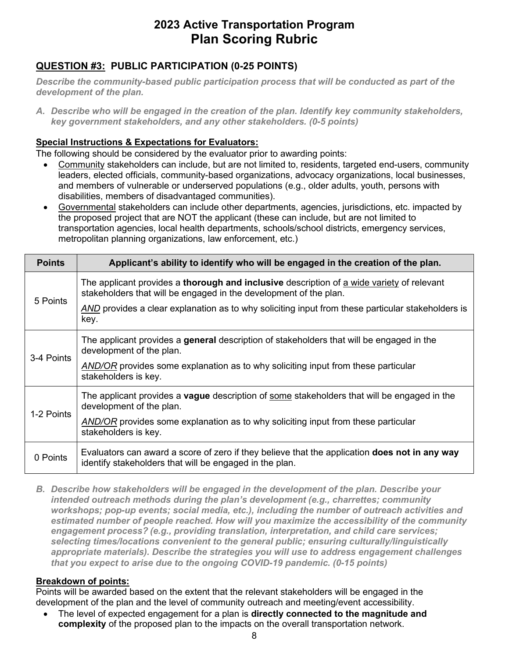# **QUESTION #3: PUBLIC PARTICIPATION (0-25 POINTS)**

*Describe the community-based public participation process that will be conducted as part of the development of the plan.* 

*A. Describe who will be engaged in the creation of the plan. Identify key community stakeholders, key government stakeholders, and any other stakeholders. (0-5 points)* 

### **Special Instructions & Expectations for Evaluators:**

The following should be considered by the evaluator prior to awarding points:

- Community stakeholders can include, but are not limited to, residents, targeted end-users, community leaders, elected officials, community-based organizations, advocacy organizations, local businesses, and members of vulnerable or underserved populations (e.g., older adults, youth, persons with disabilities, members of disadvantaged communities).
- • Governmental stakeholders can include other departments, agencies, jurisdictions, etc. impacted by metropolitan planning organizations, law enforcement, etc.) the proposed project that are NOT the applicant (these can include, but are not limited to transportation agencies, local health departments, schools/school districts, emergency services,

| <b>Points</b> | Applicant's ability to identify who will be engaged in the creation of the plan.                                                                                      |
|---------------|-----------------------------------------------------------------------------------------------------------------------------------------------------------------------|
| 5 Points      | The applicant provides a <b>thorough and inclusive</b> description of a wide variety of relevant<br>stakeholders that will be engaged in the development of the plan. |
|               | AND provides a clear explanation as to why soliciting input from these particular stakeholders is<br>key.                                                             |
| 3-4 Points    | The applicant provides a general description of stakeholders that will be engaged in the<br>development of the plan.                                                  |
|               | AND/OR provides some explanation as to why soliciting input from these particular<br>stakeholders is key.                                                             |
| 1-2 Points    | The applicant provides a <b>vague</b> description of some stakeholders that will be engaged in the<br>development of the plan.                                        |
|               | AND/OR provides some explanation as to why soliciting input from these particular<br>stakeholders is key.                                                             |
| 0 Points      | Evaluators can award a score of zero if they believe that the application <b>does not in any way</b><br>identify stakeholders that will be engaged in the plan.       |

 *appropriate materials). Describe the strategies you will use to address engagement challenges B. Describe how stakeholders will be engaged in the development of the plan. Describe your intended outreach methods during the plan's development (e.g., charrettes; community workshops; pop-up events; social media, etc.), including the number of outreach activities and estimated number of people reached. How will you maximize the accessibility of the community engagement process? (e.g., providing translation, interpretation, and child care services; selecting times/locations convenient to the general public; ensuring culturally/linguistically that you expect to arise due to the ongoing COVID-19 pandemic. (0-15 points)* 

### **Breakdown of points:**

Points will be awarded based on the extent that the relevant stakeholders will be engaged in the development of the plan and the level of community outreach and meeting/event accessibility.

• The level of expected engagement for a plan is **directly connected to the magnitude and complexity** of the proposed plan to the impacts on the overall transportation network.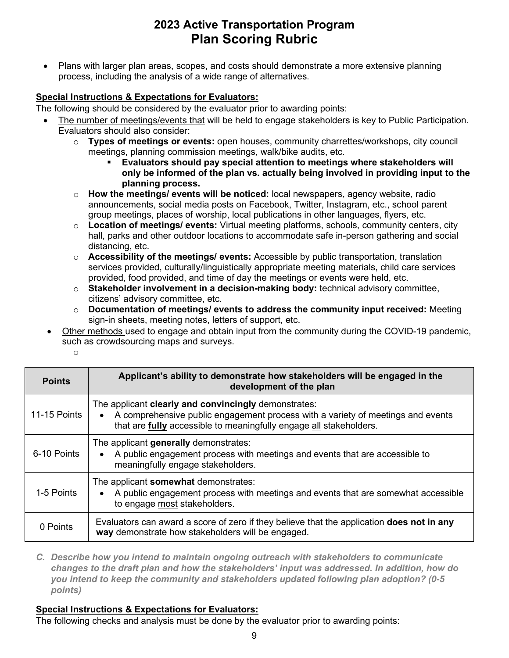• Plans with larger plan areas, scopes, and costs should demonstrate a more extensive planning process, including the analysis of a wide range of alternatives.

### **Special Instructions & Expectations for Evaluators:**

The following should be considered by the evaluator prior to awarding points:

- The number of meetings/events that will be held to engage stakeholders is key to Public Participation. Evaluators should also consider:
	- o **Types of meetings or events:** open houses, community charrettes/workshops, city council meetings, planning commission meetings, walk/bike audits, etc.
		- **Evaluators should pay special attention to meetings where stakeholders will only be informed of the plan vs. actually being involved in providing input to the planning process.**
	- group meetings, places of worship, local publications in other languages, flyers, etc. o **How the meetings/ events will be noticed:** local newspapers, agency website, radio announcements, social media posts on Facebook, Twitter, Instagram, etc., school parent
	- o **Location of meetings/ events:** Virtual meeting platforms, schools, community centers, city hall, parks and other outdoor locations to accommodate safe in-person gathering and social distancing, etc.
	- provided, food provided, and time of day the meetings or events were held, etc. o **Accessibility of the meetings/ events:** Accessible by public transportation, translation services provided, culturally/linguistically appropriate meeting materials, child care services
	- o **Stakeholder involvement in a decision-making body:** technical advisory committee, citizens' advisory committee, etc.
	- o **Documentation of meetings/ events to address the community input received:** Meeting sign-in sheets, meeting notes, letters of support, etc.
- Other methods used to engage and obtain input from the community during the COVID-19 pandemic, such as crowdsourcing maps and surveys.

o

| <b>Points</b> | Applicant's ability to demonstrate how stakeholders will be engaged in the<br>development of the plan                                                                                                         |
|---------------|---------------------------------------------------------------------------------------------------------------------------------------------------------------------------------------------------------------|
| 11-15 Points  | The applicant clearly and convincingly demonstrates:<br>A comprehensive public engagement process with a variety of meetings and events<br>that are fully accessible to meaningfully engage all stakeholders. |
| 6-10 Points   | The applicant generally demonstrates:<br>A public engagement process with meetings and events that are accessible to<br>meaningfully engage stakeholders.                                                     |
| 1-5 Points    | The applicant somewhat demonstrates:<br>A public engagement process with meetings and events that are somewhat accessible<br>to engage most stakeholders.                                                     |
| 0 Points      | Evaluators can award a score of zero if they believe that the application <b>does not in any</b><br>way demonstrate how stakeholders will be engaged.                                                         |

*C. Describe how you intend to maintain ongoing outreach with stakeholders to communicate changes to the draft plan and how the stakeholders' input was addressed. In addition, how do you intend to keep the community and stakeholders updated following plan adoption? (0-5 points)* 

## **Special Instructions & Expectations for Evaluators:**

The following checks and analysis must be done by the evaluator prior to awarding points: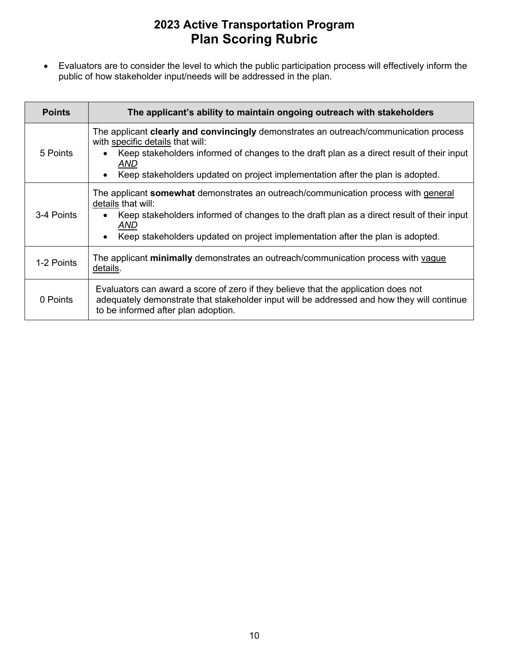• Evaluators are to consider the level to which the public participation process will effectively inform the public of how stakeholder input/needs will be addressed in the plan.

| <b>Points</b> | The applicant's ability to maintain ongoing outreach with stakeholders                                                                                                                                                                                                                                                              |
|---------------|-------------------------------------------------------------------------------------------------------------------------------------------------------------------------------------------------------------------------------------------------------------------------------------------------------------------------------------|
| 5 Points      | The applicant <b>clearly and convincingly</b> demonstrates an outreach/communication process<br>with specific details that will:<br>Keep stakeholders informed of changes to the draft plan as a direct result of their input<br>$\bullet$<br>AND<br>Keep stakeholders updated on project implementation after the plan is adopted. |
| 3-4 Points    | The applicant <b>somewhat</b> demonstrates an outreach/communication process with general<br>details that will:<br>Keep stakeholders informed of changes to the draft plan as a direct result of their input<br>AND<br>Keep stakeholders updated on project implementation after the plan is adopted.                               |
| 1-2 Points    | The applicant minimally demonstrates an outreach/communication process with vague<br>details.                                                                                                                                                                                                                                       |
| 0 Points      | Evaluators can award a score of zero if they believe that the application does not<br>adequately demonstrate that stakeholder input will be addressed and how they will continue<br>to be informed after plan adoption.                                                                                                             |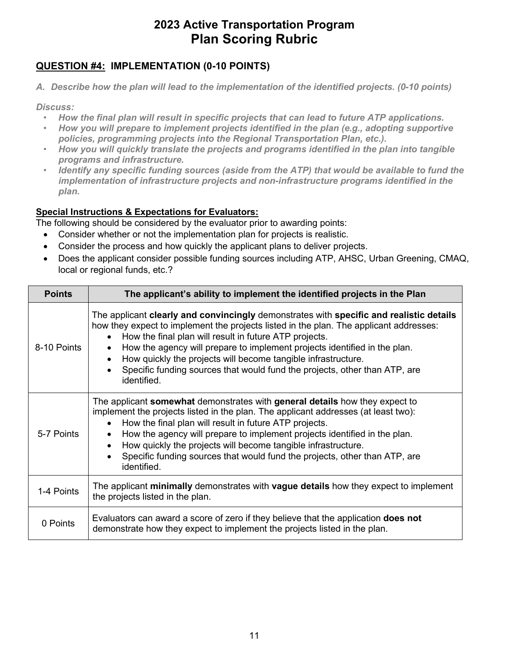## **QUESTION #4: IMPLEMENTATION (0-10 POINTS)**

 *A. Describe how the plan will lead to the implementation of the identified projects. (0-10 points)* 

*Discuss:* 

- *How the final plan will result in specific projects that can lead to future ATP applications.*
- *How you will prepare to implement projects identified in the plan (e.g., adopting supportive policies, programming projects into the Regional Transportation Plan, etc.).*
- *How you will quickly translate the projects and programs identified in the plan into tangible programs and infrastructure.*
- *implementation of infrastructure projects and non-infrastructure programs identified in the*  • *Identify any specific funding sources (aside from the ATP) that would be available to fund the plan.*

## **Special Instructions & Expectations for Evaluators:**

The following should be considered by the evaluator prior to awarding points:

- Consider whether or not the implementation plan for projects is realistic.
- Consider the process and how quickly the applicant plans to deliver projects.
- Does the applicant consider possible funding sources including ATP, AHSC, Urban Greening, CMAQ, local or regional funds, etc.?

| <b>Points</b> | The applicant's ability to implement the identified projects in the Plan                                                                                                                                                                                                                                                                                                                                                                                                               |
|---------------|----------------------------------------------------------------------------------------------------------------------------------------------------------------------------------------------------------------------------------------------------------------------------------------------------------------------------------------------------------------------------------------------------------------------------------------------------------------------------------------|
| 8-10 Points   | The applicant clearly and convincingly demonstrates with specific and realistic details<br>how they expect to implement the projects listed in the plan. The applicant addresses:<br>How the final plan will result in future ATP projects.<br>How the agency will prepare to implement projects identified in the plan.<br>How quickly the projects will become tangible infrastructure.<br>Specific funding sources that would fund the projects, other than ATP, are<br>identified. |
| 5-7 Points    | The applicant <b>somewhat</b> demonstrates with general details how they expect to<br>implement the projects listed in the plan. The applicant addresses (at least two):<br>How the final plan will result in future ATP projects.<br>How the agency will prepare to implement projects identified in the plan.<br>How quickly the projects will become tangible infrastructure.<br>Specific funding sources that would fund the projects, other than ATP, are<br>identified.          |
| 1-4 Points    | The applicant minimally demonstrates with vague details how they expect to implement<br>the projects listed in the plan.                                                                                                                                                                                                                                                                                                                                                               |
| 0 Points      | Evaluators can award a score of zero if they believe that the application <b>does not</b><br>demonstrate how they expect to implement the projects listed in the plan.                                                                                                                                                                                                                                                                                                                 |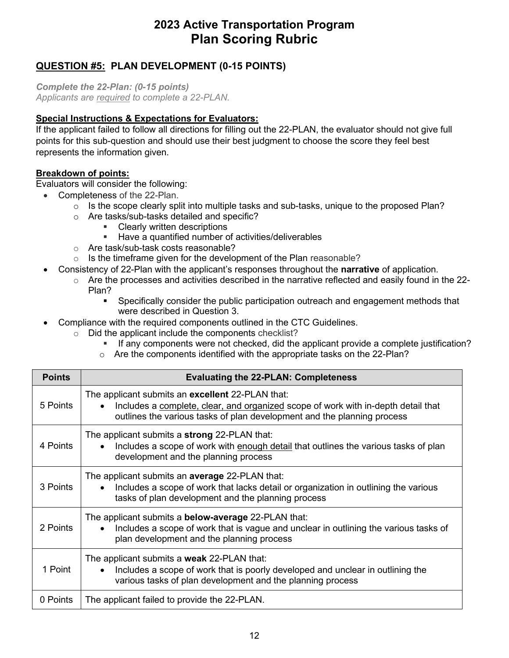## **QUESTION #5: PLAN DEVELOPMENT (0-15 POINTS)**

 *Complete the 22-Plan: (0-15 points) Applicants are required to complete a 22-PLAN.* 

### **Special Instructions & Expectations for Evaluators:**

 If the applicant failed to follow all directions for filling out the 22-PLAN, the evaluator should not give full points for this sub-question and should use their best judgment to choose the score they feel best represents the information given.

### **Breakdown of points:**

Evaluators will consider the following:

- Completeness of the 22-Plan.
	- $\circ$  Is the scope clearly split into multiple tasks and sub-tasks, unique to the proposed Plan?
	- o Are tasks/sub-tasks detailed and specific?<br>Clearly written descriptions
		- Clearly written descriptions
		- **Have a quantified number of activities/deliverables**
	- o Are task/sub-task costs reasonable?
	- $\circ$  Is the timeframe given for the development of the Plan reasonable?
	- Consistency of 22-Plan with the applicant's responses throughout the **narrative** of application.
		- $\circ$  Are the processes and activities described in the narrative reflected and easily found in the 22-Plan?
			- were described in Question 3. **Specifically consider the public participation outreach and engagement methods that**
- Compliance with the required components outlined in the CTC Guidelines.
	- $\circ$  Did the applicant include the components checklist?
		- **If any components were not checked, did the applicant provide a complete justification?**
		- $\circ$  Are the components identified with the appropriate tasks on the 22-Plan?

| <b>Points</b> | <b>Evaluating the 22-PLAN: Completeness</b>                                                                                                                                                                      |
|---------------|------------------------------------------------------------------------------------------------------------------------------------------------------------------------------------------------------------------|
| 5 Points      | The applicant submits an excellent 22-PLAN that:<br>Includes a complete, clear, and organized scope of work with in-depth detail that<br>outlines the various tasks of plan development and the planning process |
| 4 Points      | The applicant submits a strong 22-PLAN that:<br>Includes a scope of work with enough detail that outlines the various tasks of plan<br>development and the planning process                                      |
| 3 Points      | The applicant submits an <b>average</b> 22-PLAN that:<br>Includes a scope of work that lacks detail or organization in outlining the various<br>tasks of plan development and the planning process               |
| 2 Points      | The applicant submits a <b>below-average</b> 22-PLAN that:<br>Includes a scope of work that is vague and unclear in outlining the various tasks of<br>plan development and the planning process                  |
| 1 Point       | The applicant submits a weak 22-PLAN that:<br>Includes a scope of work that is poorly developed and unclear in outlining the<br>various tasks of plan development and the planning process                       |
| 0 Points      | The applicant failed to provide the 22-PLAN.                                                                                                                                                                     |